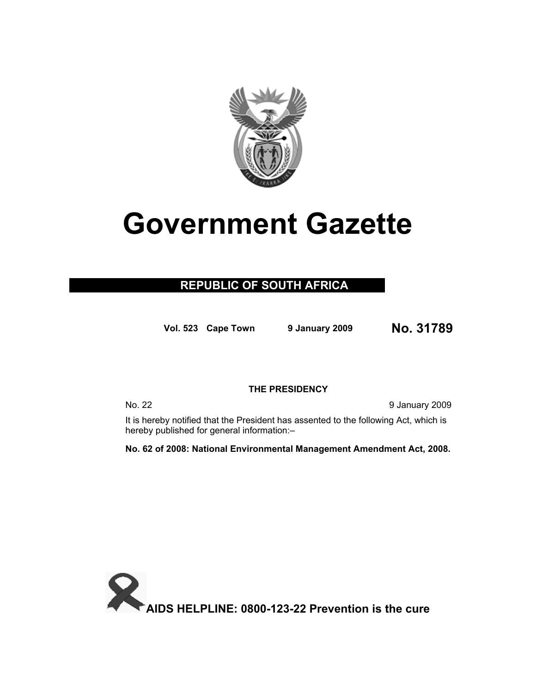

# **Government Gazette**

## **REPUBLIC OF SOUTH AFRICA**

**Vol. 523 Cape Town 9 January 2009 No. 31789**

### **THE PRESIDENCY**

No. 22 9 January 2009

It is hereby notified that the President has assented to the following Act, which is hereby published for general information:–

**No. 62 of 2008: National Environmental Management Amendment Act, 2008.**

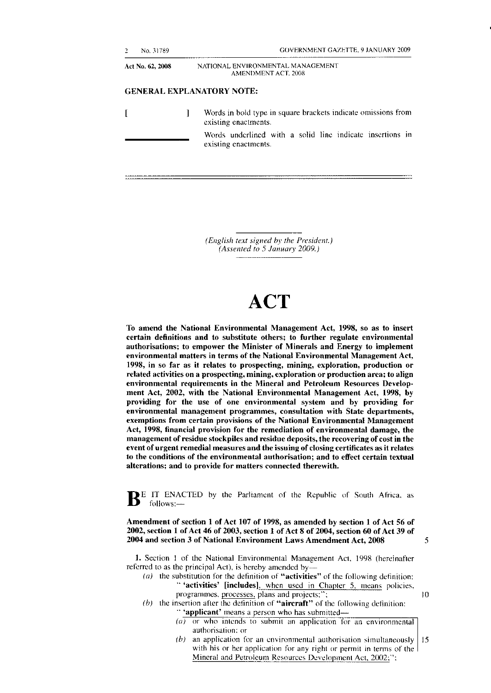#### **GENERAL EXPLANATORY NOTE:**

[ ] Words in bold type in square brackets indicate omissions from existing enactments. Words underlined with a solid line indicate insertions in existing enactments.

> *(English text signed by the President.) (Assented to 5 January 2009.)*

## **ACT**

**To amend the National Environmental Management Act, 1998, so as to insert certain definitions and to substitute others; to further regulate environmental authorisations; to empower the Minister of Minerals and Energy to implement environmental matters in terms of the National Environmental Management Act, 1998, in so far as it relates to prospecting, mining, exploration, production or related activities on a prospecting, mining, exploration or production area; to align environmental requirements in the Mineral and Petroleum Resources Development Act, 2002, with the National Environmental Management Act, 1998, by providing for the use of one environmental system and by providing for environmental management programmes, consultation with State departments, exemptions from certain provisions of the National Environmental Management Act, 1998, financial provision for the remediation of environmental damage, the management of residue stockpiles and residue deposits, the recovering of cost in the event of urgent remedial measures and the issuing of closing certificates as it relates to the conditions of the environmental authorisation; and to effect certain textual alterations; and to provide for matters connected therewith.** 

**BE IT ENACTED** by the Parliament of the Republic of South Africa, as follows:—

**Amendment of section 1 of Act 107 of 1998, as amended by section 1 of Act 56 of 2002, section 1 of Act 46 of 2003, section 1 of Act 8 of 2004, section 60 of Act 39 of 2004 and section 3 of National Environment Laws Amendment Act, 2008** 5

**1.** Section 1 of the National Environmental Management Act, 1998 (hereinafter referred to as the principal Act), is hereby amended by—

- *(a)* the substitution for the definition of **"activities"** of the following definition: **" 'activities' [includes],** when used in Chapter 5, means policies, programmes, processes, plans and projects;"; 10
- *(b)* the insertion after the definition of **"aircraft"** of the following definition: **" 'applicant'** means a person who has submitted—
	- *(a)* or who intends to submit an application for an environmental authorisation; or
	- *(b)* an application for an environmental authorisation simultaneously  $15$ with his or her application for any right or permit in terms of the Mineral and Petroleum Resources Development Act, 2002;";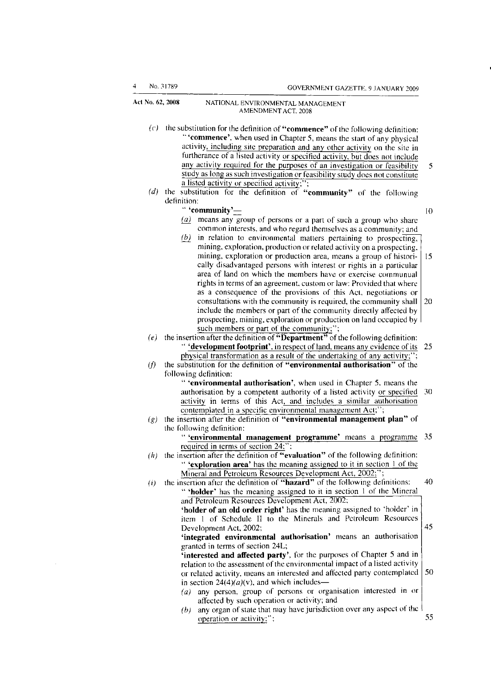- *(c)* the substitution for the definition of **"commence"** of the following definition: **" 'commence',** when used in Chapter 5, means the start of any physical activity, including site preparation and any other activity on the site in furtherance of a listed activity or specified activity, but does not include any activity required for the purposes of an investigation or feasibility 5 study as long as such investigation or feasibility study does not constitute a listed activity or specified activity;"
- *(d)* the substitution for the definition of **"community"** of the following definition:

#### **" 'community'—** 10

- *(a)* means any group of persons or a part of such a group who share common interests, and who regard themselves as a community; and
- *(b)* in relation to environmental matters pertaining to prospecting, mining, exploration, production or related activity on a prospecting, mining, exploration or production area, means a group of histori- 15 cally disadvantaged persons with interest or rights in a particular area of land on which the members have or exercise communual rights in terms of an agreement, custom or law: Provided that where as a consequence of the provisions of this Act, negotiations or consultations with the community is required, the community shall  $\vert$  20 include the members or part of the community directly affected by prospecting, mining, exploration or production on land occupied by such members or part of the community;";
- *(e)* the insertion after the definition of **"Department"** of the following definition: **" \* development footprint',** in respect of land, means any evidence of its 25 physical transformation as a result of the undertaking of any activity;";
- *(f)* the substitution for the definition of **"environmental authorisation"** of the following definition:
	- **" 'environmental authorisation',** when used in Chapter 5, means the authorisation by a competent authority of a listed activity or specified 30 activity in terms of this Act, and includes a similar authorisation contemplated in a specific environmental management Act;";
- *(g)* the insertion after the definition of **"environmental management plan"** of the following definition:
	- **" 'environmental management programme'** means a programme 35 required in terms of section 24;";
- *(h)* the insertion after the definition of **"evaluation"** of the following definition: **" 'exploration area'** has the meaning assigned to it in section 1 of the Mineral and Petroleum Resources Development Act, 2002;";
- *(i)* the insertion after the definition of **"hazard"** of the following definitions: 40 **" 'holder'** has the meaning assigned to it in section 1 of the Mineral and Petroleum Resources Development Act, 2002 **'holder of an old order right'** has the meaning assigned to 'holder' in item 1 of Schedule II to the Minerals and Petroleum Resources Development Act, 2002; 45

**'integrated environmental authorisation'** means an authorisation granted in terms of section 24L;

**'interested and affected party',** for the purposes of Chapter 5 and in relation to the assessment of the environmental impact of a listed activity or related activity, means an interested and affected party contemplated 50 in section  $24(4)(a)(v)$ , and which includes–

- *(a)* any person, group of persons or organisation interested in or affected by such operation or activity; and
- *(b)* any organ of state that may have jurisdiction over any aspect of the operation or activity;"; 55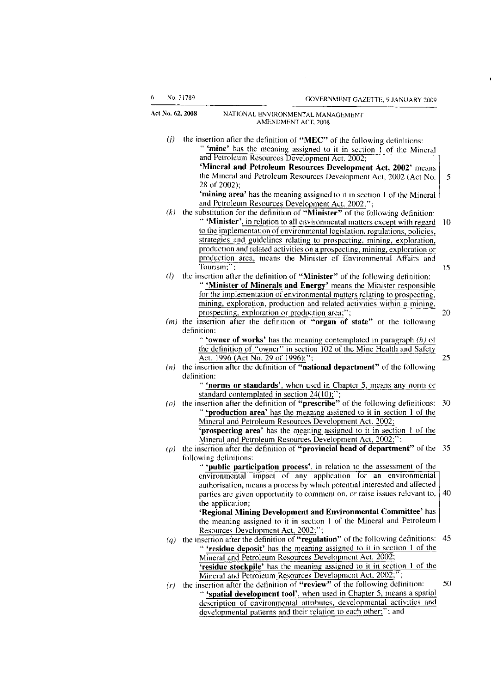| 6.                | No. 31789   | GOVERNMENT GAZETTE, 9 JANUARY 2009                                                                                                      |    |
|-------------------|-------------|-----------------------------------------------------------------------------------------------------------------------------------------|----|
| Act No. 62, 2008  |             | NATIONAL ENVIRONMENTAL MANAGEMENT<br>AMENDMENT ACT, 2008                                                                                |    |
| $\left( j\right)$ |             | the insertion after the definition of "MEC" of the following definitions:                                                               |    |
|                   |             | " 'mine' has the meaning assigned to it in section 1 of the Mineral                                                                     |    |
|                   |             | and Petroleum Resources Development Act, 2002;                                                                                          |    |
|                   |             | 'Mineral and Petroleum Resources Development Act, 2002' means                                                                           |    |
|                   |             | the Mineral and Petroleum Resources Development Act, 2002 (Act No.<br>28 of 2002);                                                      |    |
|                   |             |                                                                                                                                         |    |
|                   |             | 'mining area' has the meaning assigned to it in section 1 of the Mineral                                                                |    |
|                   |             | and Petroleum Resources Development Act, 2002;";                                                                                        |    |
| (k)               |             | the substitution for the definition of "Minister" of the following definition:                                                          |    |
|                   |             | " 'Minister', in relation to all environmental matters except with regard                                                               | 10 |
|                   |             | to the implementation of environmental legislation, regulations, policies,                                                              |    |
|                   |             | strategies and guidelines relating to prospecting, mining, exploration,                                                                 |    |
|                   |             | production and related activities on a prospecting, mining, exploration or                                                              |    |
|                   |             | production area, means the Minister of Environmental Affairs and                                                                        |    |
|                   |             | Tourism:":                                                                                                                              | 15 |
| (l)               |             | the insertion after the definition of "Minister" of the following definition:                                                           |    |
|                   |             | " 'Minister of Minerals and Energy' means the Minister responsible                                                                      |    |
|                   |             | for the implementation of environmental matters relating to prospecting,                                                                |    |
|                   |             | mining, exploration, production and related activities within a mining,                                                                 |    |
|                   |             | prospecting, exploration or production area;";                                                                                          | 20 |
|                   |             | $(m)$ the insertion after the definition of "organ of state" of the following                                                           |    |
|                   | definition: |                                                                                                                                         |    |
|                   |             | " 'owner of works' has the meaning contemplated in paragraph $(b)$ of                                                                   |    |
|                   |             | the definition of "owner" in section 102 of the Mine Health and Safety                                                                  |    |
|                   |             | Act, 1996 (Act No. 29 of 1996);";                                                                                                       | 25 |
|                   |             | $(n)$ the insertion after the definition of "national department" of the following                                                      |    |
|                   | definition: |                                                                                                                                         |    |
|                   |             | " 'norms or standards', when used in Chapter 5, means any norm or                                                                       |    |
|                   |             | standard contemplated in section 24(10);";                                                                                              |    |
|                   |             | ( $o$ ) the insertion after the definition of "prescribe" of the following definitions:                                                 | 30 |
|                   |             | " 'production area' has the meaning assigned to it in section 1 of the                                                                  |    |
|                   |             | Mineral and Petroleum Resources Development Act, 2002;                                                                                  |    |
|                   |             | 'prospecting area' has the meaning assigned to it in section 1 of the                                                                   |    |
|                   |             | Mineral and Petroleum Resources Development Act, 2002;":                                                                                |    |
| (p)               |             | the insertion after the definition of "provincial head of department" of the 35                                                         |    |
|                   |             | following definitions:                                                                                                                  |    |
|                   |             | public participation process', in relation to the assessment of the                                                                     |    |
|                   |             | environmental impact of any application for an environmental                                                                            |    |
|                   |             | authorisation, means a process by which potential interested and affected                                                               |    |
|                   |             | parties are given opportunity to comment on, or raise issues relevant to,                                                               | 40 |
|                   |             | the application;                                                                                                                        |    |
|                   |             | 'Regional Mining Development and Environmental Committee' has                                                                           |    |
|                   |             | the meaning assigned to it in section 1 of the Mineral and Petroleum                                                                    |    |
|                   |             | Resources Development Act, 2002;";                                                                                                      |    |
| $\left(q\right)$  |             | the insertion after the definition of "regulation" of the following definitions:                                                        | 45 |
|                   |             | " 'residue deposit' has the meaning assigned to it in section 1 of the                                                                  |    |
|                   |             | Mineral and Petroleum Resources Development Act, 2002;                                                                                  |    |
|                   |             |                                                                                                                                         |    |
|                   |             | 'residue stockpile' has the meaning assigned to it in section 1 of the                                                                  |    |
|                   |             | Mineral and Petroleum Resources Development Act, 2002;";                                                                                |    |
| (r)               |             | the insertion after the definition of "review" of the following definition:                                                             |    |
|                   |             | " 'spatial development tool', when used in Chapter 5, means a spatial                                                                   | 50 |
|                   |             | description of environmental attributes, developmental activities and<br>developmental patterns and their relation to each other;"; and |    |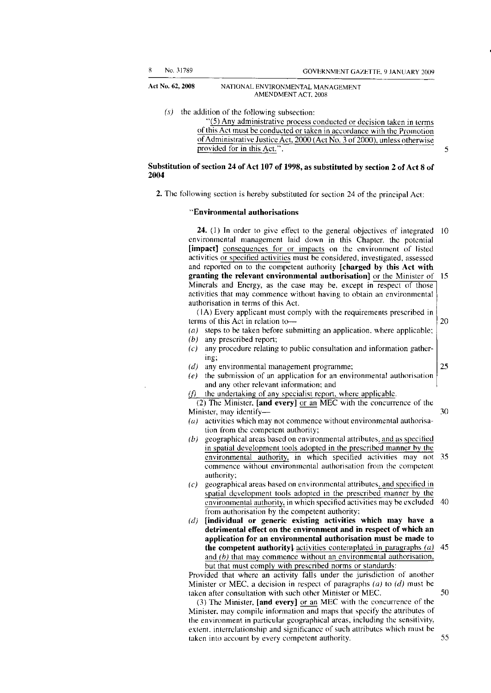*(s)* the addition of the following subsection:

"(5) Any administrative process conducted or decision taken in terms of this Act must be conducted or taken in accordance with the Promotion of Administrative Justice Act, 2000 (Act No. 3 of 2000), unless otherwise provided for in this Act.".

**Substitution of section 24 of Act 107 of 1998, as substituted by section 2 of Act 8 of 2004** 

**2.** The following section is hereby substituted for section 24 of the principal Act:

#### **"Environmental authorisations**

**24.** (1) In order to give effect to the general objectives of integrated 10 environmental management laid down in this Chapter, the potential **[impact]** consequences for or impacts on the environment of listed activities or specified activities must be considered, investigated, assessed and reported on to the competent authority **[charged by this Act with granting the relevant environmental authorisation]** or the Minister of 15 Minerals and Energy, as the case may be, except in respect of those activities that may commence without having to obtain an environmental authorisation in terms of this Act.

(1A) Every applicant must comply with the requirements prescribed in terms of this Act in relation to—

- *(a)* steps to be taken before submitting an application, where applicable;
- *(b)* any prescribed report;
- *(c)* any procedure relating to public consultation and information gathering;
- *(d)* any environmental management programme;
- *(e)* the submission of an application for an environmental authorisation and any other relevant information; and
- *(f)* the undertaking of any specialist report, where applicable.

(2) The Minister, **[and every]** or an MEC with the concurrence of the Minister, may identify— 30

- *(a)* activities which may not commence without environmental authorisation from the competent authority;
- *(b)* geographical areas based on environmental attributes, and as specified in spatial development tools adopted in the prescribed manner by the environmental authority, in which specified activities may not 35 commence without environmental authorisation from the competent authority;
- *(c)* geographical areas based on environmental attributes, and specified in spatial development tools adopted in the prescribed manner by the environmental authority, in which specified activities may be excluded 40 from authorisation by the competent authority;
- *(d)* **[individual or generic existing activities which may have a detrimental effect on the environment and in respect of which an application for an environmental authorisation must be made to the competent authority]** activities contemplated in paragraphs *(a)* 45 and *(b)* that may commence without an environmental authorisation, but that must comply with prescribed norms or standards:

Provided that where an activity falls under the jurisdiction of another Minister or MEC, a decision in respect of paragraphs *(a)* to *(d)* must be taken after consultation with such other Minister or MEC. 50

(3) The Minister, **[and every]** or an MEC with the concurrence of the Minister, may compile information and maps that specify the attributes of the environment in particular geographical areas, including the sensitivity, extent, interrelationship and significance of such attributes which must be taken into account by every competent authority. 55

25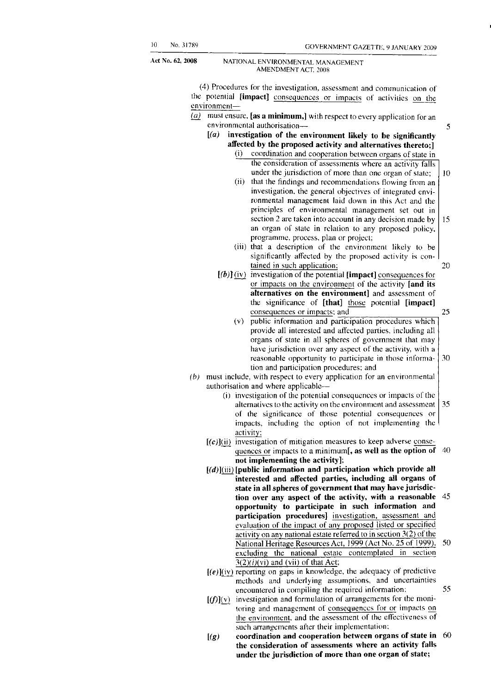5

**62, 2008** NATIONAL ENVIRONMENTAL MANAGEMENT AMENDMENT ACT, 2008

> (4) Procedures for the investigation, assessment and communication of the potential **[impact]** consequences or impacts of activities on the environment—

- *(a)* must ensure, **[as a minimum,]** with respect to every application for an environmental authorisation—
	- *[(a)* **investigation of the environment likely to be significantly affected by the proposed activity and alternatives thereto;]** 
		- (i) coordination and cooperation between organs of state in 10 the consideration of assessments where an activity falls under the jurisdiction of more than one organ of state;
			- 15 (ii) that the findings and recommendations flowing from an investigation, the general objectives of integrated environmental management laid down in this Act and the principles of environmental management set out in section 2 are taken into account in any decision made by an organ of state in relation to any proposed policy, programme, process, plan or project;
			- (iii) that a description of the environment likely to be significantly affected by the proposed activity is contained in such application; 20
		- *[(b)]* (iy) investigation of the potential **[impact]** consequences for or impacts on the environment of the activity **[and its alternatives on the environment]** and assessment of the significance of **[that]** those potential **[impact]**  consequences or impacts; and 25
			- (v) public information and participation procedures which provide all interested and affected parties, including all organs of state in all spheres of government that may have jurisdiction over any aspect of the activity, with a reasonable opportunity to participate in those informa- 30 tion and participation procedures; and
- *(b)* must include, with respect to every application for an environmental authorisation and where applicable—
	- (i) investigation of the potential consequences or impacts of the alternatives to the activity on the environment and assessment  $\vert$  35 of the significance of those potential consequences or impacts, including the option of not implementing the activity;
	- **[(c**)](ii) investigation of mitigation measures to keep adverse consequences or impacts to a minimum[, **as well as the option of** 40 **not implementing the activity];**
	- [(d)](iii) **[public information and participation which provide all interested and affected parties, including all organs of state in all spheres of government that may have jurisdiction over any aspect of the activity, with a reasonable** 45 **opportunity to participate in such information and participation procedures]** investigation, assessment and evaluation of the impact of any proposed listed or specified activity on any national estate referred to in section 3(2) of the National Heritage Resources Act, 1999 (Act No. 25 of 1999), 50 excluding the national estate contemplated in section  $\overline{3(2)(i)}$ (vi) and (vii) of that Act;
	- $[(e)]$ (iv) reporting on gaps in knowledge, the adequacy of predictive methods and underlying assumptions, and uncertainties encountered in compiling the required information; 55
	- $[(f)](v)$  investigation and formulation of arrangements for the monitoring and management of consequences for or impacts on the environment, and the assessment of the effectiveness of such arrangements after their implementation;
	- *[(g)* **coordination and cooperation between organs of state in** 60 **the consideration of assessments where an activity falls under the jurisdiction of more than one organ of state;**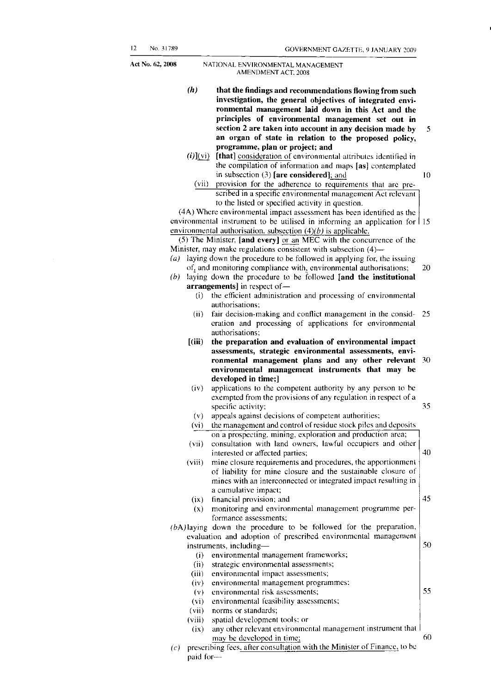- *(h)* **that the findings and recommendations flowing from such investigation, the general objectives of integrated environmental management laid down in this Act and the principles of environmental management set out in section 2 are taken into account in any decision made by** 5 **an organ of state in relation to the proposed policy, programme, plan or project; and**
- *(i)](yi)* **[that]** consideration of environmental attributes identified in the compilation of information and maps **[as]** contemplated in subsection (3) [are considered]; and 10
	- (vii) provision for the adherence to requirements that are prescribed in a specific environmental management Act relevant to the listed or specified activity in question.

environmental instrument to be utilised in informing an application for  $115$ (4A) Where environmental impact assessment has been identified as the environmental authorisation, subsection *(4)(b)* is applicable.

(5) The Minister, **[and every]** or an MEC with the concurrence of the Minister, may make regulations consistent with subsection (4)—

- *(a)* laying down the procedure to be followed in applying for, the issuing of, and monitoring compliance with, environmental authorisations; 20
- *(b)* laying down the procedure to be followed **[and the institutional arrangements]** in respect of—
	- (i) the efficient administration and processing of environmental authorisations;
	- (ii) fair decision-making and conflict management in the consid- 25 eration and processing of applications for environmental authorisations;
	- $[(iii)$  the preparation and evaluation of environmental impact **assessments, strategic environmental assessments, environmental management plans and any other relevant** 30 **environmental management instruments that may be developed in time;]**
	- (iv) applications to the competent authority by any person to be exempted from the provisions of any regulation in respect of a specific activity; 35
	- (v) appeals against decisions of competent authorities;
	- (vi) the management and control of residue stock piles and deposits on a prospecting, mining, exploration and production area;
	- (vii) consultation with land owners, lawful occupiers and other interested or affected parties;  $|40\rangle$
	- (viii) mine closure requirements and procedures, the apportionment of liability for mine closure and the sustainable closure of mines with an interconnected or integrated impact resulting in a cumulative impact;
	- $(ix)$  financial provision; and  $\begin{array}{|l|}45\end{array}$ (x) monitoring and environmental management programme per-
	- formance assessments;
- *(bA)* laying down the procedure to be followed for the preparation, evaluation and adoption of prescribed environmental management instruments, including— 50
	- (i) environmental management frameworks;
	- (ii) strategic environmental assessments;
	- (iii) environmental impact assessments;
	- (iv) environmental management programmes;
	- (v) environmental risk assessments; 55
	- (vi) environmental feasibility assessments;
	- (vii) norms or standards;
	- (viii) spatial development tools; or
	- (ix) any other relevant environmental management instrument that may be developed in time; 60
- *(c)* prescribing fees, after consultation with the Minister of Finance, to be paid for—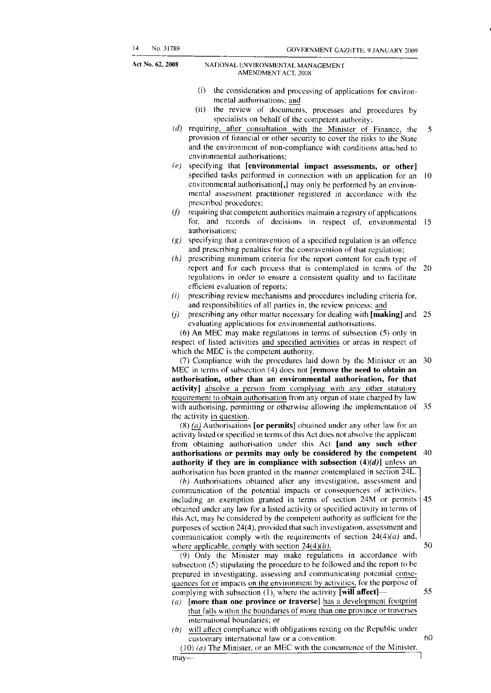- (i) the consideration and processing of applications for environmental authorisations; and
- (ii) the review of documents, processes and procedures by specialists on behalf of the competent authority;
- *(d)* requiring, after consultation with the Minister of Finance, the 5 provision of financial or other security to cover the risks to the State and the environment of non-compliance with conditions attached to environmental authorisations;
- *(e)* specifying that **[environmental impact assessments, or other]**  specified tasks performed in connection with an application for an 10 environmental authorisation<sup>[1]</sup> may only be performed by an environmental assessment practitioner registered in accordance with the prescribed procedures;
- *(f)* requiring that competent authorities maintain a registry of applications for, and records of decisions in respect of, environmental 15 authorisations;
- *(g)* specifying that a contravention of a specified regulation is an offence and prescribing penalties for the contravention of that regulation;
- *(h)* prescribing minimum criteria for the report content for each type of report and for each process that is contemplated in terms of the 20 regulations in order to ensure a consistent quality and to facilitate efficient evaluation of reports;
- *(i)* prescribing review mechanisms and procedures including criteria for, and responsibilities of all parties in, the review process; and
- *(j)* prescribing any other matter necessary for dealing with **[making]** and 25 evaluating applications for environmental authorisations.

(6) An MEC may make regulations in terms of subsection (5) only in respect of listed activities and specified activities or areas in respect of which the MEC is the competent authority.

(7) Compliance with the procedures laid down by the Minister or an 30 MEC in terms of subsection (4) does not **[remove the need to obtain an authorisation, other than an environmental authorisation, for that**  activity] absolve a person from complying with any other statutory requirement to obtain authorisation from any organ of state charged by law with authorising, permitting or otherwise allowing the implementation of 35 the activity in question.

(8) *(a}\_* Authorisations **[or permits]** obtained under any other law for an activity listed or specified in terms of this Act does not absolve the applicant from obtaining authorisation under this Act **[and any such other authorisations or permits may only be considered by the competent** 40 **authority if they are in compliance with subsection** *(4)(d)]* unless an authorisation has been granted in the manner contemplated in section 24L.

45 *(b)* Authorisations obtained after any investigation, assessment and communication of the potential impacts or consequences of activities, including an exemption granted in terms of section 24M or permits obtained under any law for a listed activity or specified activity in terms of this Act, may be considered by the competent authority as sufficient for the purposes of section 24(4), provided that such investigation, assessment and communication comply with the requirements of section *24(4)(a)* and, where applicable, comply with section  $24(4)(b)$ . 50

(9) Only the Minister may make regulations in accordance with subsection (5) stipulating the procedure to be followed and the report to be prepared in investigating, assessing and communicating potential consequences for or impacts on the environment by activities, for the purpose of complying with subsection (1), where the activity **[will affect]—** 55

- *(a)* **[more than one province or traverse]** has a development footprint that falls within the boundaries of more than one province or traverses international boundaries; or
- *(b)* will affect compliance with obligations resting on the Republic under customary international law or a convention. 60
- (10) *(a)* The Minister, or an MEC with the concurrence of the Minister,  $may \rightarrow$   $1$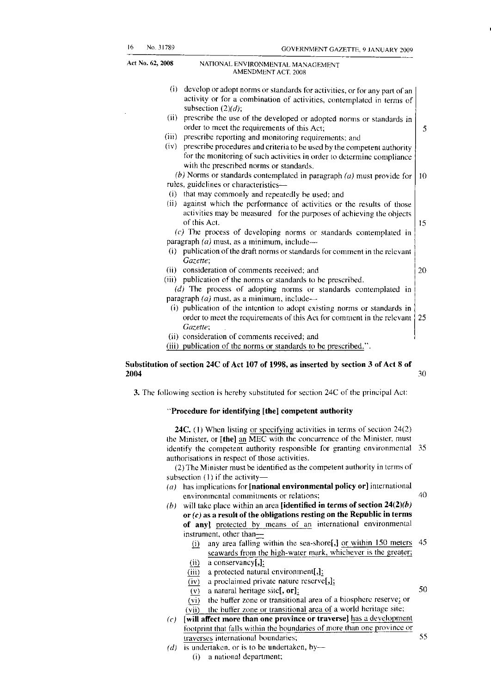5

Act **No. 62, 2008** NATIONAL ENVIRONMENTAL MANAGEMENT AMENDMENT ACT, 2008

- (i) develop or adopt norms or standards for activities, or for any part of an activity or for a combination of activities, contemplated in terms of subsection *(2)(d);*
- (ii) prescribe the use of the developed or adopted norms or standards in order to meet the requirements of this Act;
- (iii) prescribe reporting and monitoring requirements; and
- (iv) prescribe procedures and criteria to be used by the competent authority for the monitoring of such activities in order to determine compliance with the prescribed norms or standards.
- *(b)* Norms or standards contemplated in paragraph  $(a)$  must provide for  $\vert$  10 rules, guidelines or characteristics—
- (i) that may commonly and repeatedly be used; and
- (ii) against which the performance of activities or the results of those activities may be measured for the purposes of achieving the objects of this Act.

*(c)* The process of developing norms or standards contemplated in paragraph *(a)* must, as a minimum, include—

- (i) publication of the draft norms or standards for comment in the relevant *Gazette;*
- (ii) consideration of comments received; and  $\vert$  20
- (iii) publication of the norms or standards to be prescribed. *(d)* The process of adopting norms or standards contemplated in paragraph *(a)* must, as a minimum, include—
	- (i) publication of the intention to adopt existing norms or standards in order to meet the requirements of this Act for comment in the relevant 25 *Gazette;*
- (ii) consideration of comments received; and
- (iii) publication of the norms or standards to be prescribed.".

#### **Substitution of section 24C of Act 107 of 1998, as inserted by section 3 of Act 8 of 2004 30**

**3.** The following section is hereby substituted for section 24C of the principal Act:

#### **"Procedure for identifying [the] competent authority**

**24C.** (1) When listing or specifying activities in terms of section 24(2) the Minister, or **[the]** an MEC with the concurrence of the Minister, must identify the competent authority responsible for granting environmental 35 authorisations in respect of those activities.

(2) The Minister must be identified as the competent authority in terms of subsection (1) if the activity—

- *(a)* has implications for **[national environmental policy or]** international environmental commitments or relations; 40
- *(b)* will take place within an area **[identified in terms of section** *24(2)(b)*  **or** *(c)* **as a result of the obligations resting on the Republic in terms of any]** protected by means of an international environmental
	- instrument, other than—
		- $(i)$  any area falling within the sea-shore[,] or within 150 meters 45 seawards from the high-water mark, whichever is the greater; (ii) a conservancy $[j]$ :
	- (iii) a protected natural environment[, $\frac{1}{2}$ ];
	- $(iv)$  a proclaimed private nature reserve[,];
	- $\overline{(v)}$  a natural heritage site**[, or]**; 50
	- (vi) the buffer zone or transitional area of a biosphere reserve; or (vii) the buffer zone or transitional area of a world heritage site;
- *(c)* **[will affect more than one province or traverse]** has a development footprint that falls within the boundaries of more than one province or traverses international boundaries; 55
- *(d)* is undertaken, or is to be undertaken, by— (i) a national department;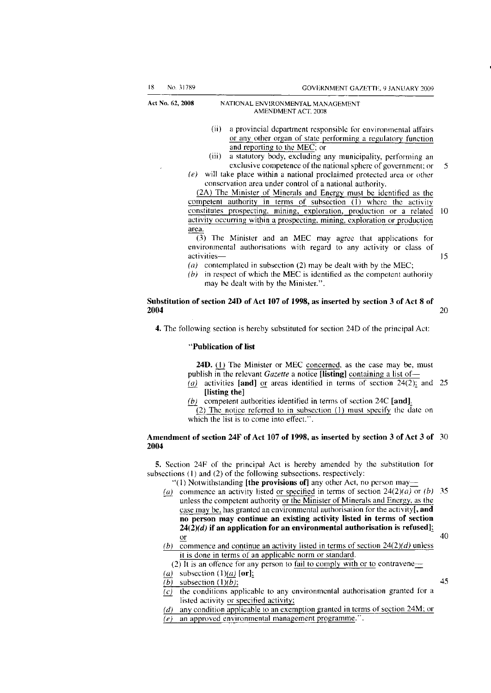- (ii) a provincial department responsible for environmental affairs or any other organ of state performing a regulatory function and reporting to the MEC; or
- (iii) a statutory body, excluding any municipality, performing an exclusive competence of the national sphere of government; or 5
- *(e)* will take place within a national proclaimed protected area or other conservation area under control of a national authority.

(2A) The Minister of Minerals and Energy must be identified as the competent authority in terms of subsection (1) where the activity constitutes prospecting, mining, exploration, production or a related 10 activity occurring within a prospecting, mining, exploration or production area.

(3) The Minister and an MEC may agree that applications for environmental authorisations with regard to any activity or class of activities— 15

- *(a)* contemplated in subsection (2) may be dealt with by the MEC;
- *(b)* in respect of which the MEC is identified as the competent authority may be dealt with by the Minister.".

#### **Substitution of section 24D of Act 107 of 1998, as inserted by section 3 of Act 8 of 2004** 20

**4.** The following section is hereby substituted for section 24D of the principal Act:

#### **"Publication of list**

**24D.** (1) The Minister or MEC concerned, as the case may be, must publish in the relevant *Gazette* a notice **[listing]** containing a list of—

- *(a)* activities **[and]** or areas identified in terms of section 24(2); and 25 **[listing the]**
- *(b)* competent authorities identified in terms of section 24C **[and]^**  (2) The notice referred to in subsection (1) must specify the date on which the list is to come into effect.".

#### **Amendment of section 24F of Act 107 of 1998, as inserted by section 3 of Act 3 of** 30 **2004**

**5.** Section 24F of the principal Act is hereby amended by the substitution for subsections (1) and (2) of the following subsections, respectively:

- "(1) Notwithstanding **[the provisions of]** any other Act, no person may—
- *(a)* commence an activity listed or specified in terms of section *2A{2)(a)* or *(b)* 35 unless the competent authority or the Minister of Minerals and Energy, as the case may be, has granted an environmental authorisation for the activity[, **and no person may continue an existing activity listed in terms of section**  *24(2)(d)* **if an application for an environmental authorisation is refused];**  or  $40$
- *(b)* commence and continue an activity listed in terms of section *2A{2)(d)* unless it is done in terms of an applicable norm or standard.
- (2) It is an offence for any person to fail to comply with or to contravene—
- $(a)$  subsection  $(1)(a)$  [or];

 $\overline{(b)}$  subsection  $(1)\overline{(b)}$ ;  $\overline{\phantom{a}}$  45

- *(c)* the conditions applicable to any environmental authorisation granted for a listed activity or specified activity;
- *(d)* any condition applicable to an exemption granted in terms of section 24M; or
- *(e)* an approved environmental management programme.".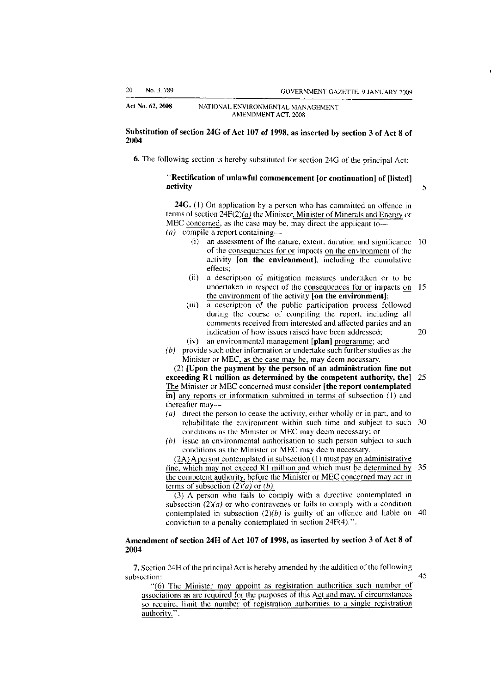#### **Substitution of section 24G of Act 107 of 1998, as inserted by section 3 of Act 8 of 2004**

**6.** The following section is hereby substituted for section 24G of the principal Act:

#### **"Rectification of unlawful commencement [or continuation] of [listed] activity** 5

**24G.** (1) On application by a person who has committed an offence in terms of section  $24F(2)(a)$  the Minister, Minister of Minerals and Energy or MEC concerned, as the case may be, may direct the applicant to— *(a)* compile a report containing—

- (i) an assessment of the nature, extent, duration and significance 10 of the consequences for or impacts on the environment of the activity **[on the environment],** including the cumulative effects;
- (ii) a description of mitigation measures undertaken or to be undertaken in respect of the consequences for or impacts on 15 the environment of the activity **[on the environment];**
- (iii) a description of the public participation process followed during the course of compiling the report, including all comments received from interested and affected parties and an indication of how issues raised have been addressed; 20
- (iv) an environmental management **[plan]** programme; and
- *(b)* provide such other information or undertake such further studies as the Minister or MEC, as the case may be, may deem necessary.

(2) **[Upon the payment by the person of an administration fine not exceeding Rl million as determined by the competent authority, the]** 25 The Minister or MEC concerned must consider **[the report contemplated in]** any reports or information submitted in terms of subsection (1) and thereafter may—

- *(a)* direct the person to cease the activity, either wholly or in part, and to rehabilitate the environment within such time and subject to such 30 conditions as the Minister or MEC may deem necessary; or
- *(b)* issue an environmental authorisation to such person subject to such conditions as the Minister or MEC may deem necessary.

(2A) A person contemplated in subsection (1) must pay an administrative fine, which may not exceed Rl million and which must be determined by 35 the competent authority, before the Minister or MEC concerned may act in terms of subsection *(2)(a)* or *(b).* 

(3) A person who fails to comply with a directive contemplated in subsection  $(2)(a)$  or who contravenes or fails to comply with a condition contemplated in subsection  $(2)(b)$  is guilty of an offence and liable on 40 conviction to a penalty contemplated in section 24F(4).".

#### **Amendment of section 24H of Act 107 of 1998, as inserted by section 3 of Act 8 of 2004**

**7.** Section 24H of the principal Act is hereby amended by the addition of the following subsection:  $45$ 

"(6) The Minister may appoint as registration authorities such number of associations as are required for the purposes of this Act and may, if circumstances so require, limit the number of registration authorities to a single registration authority.".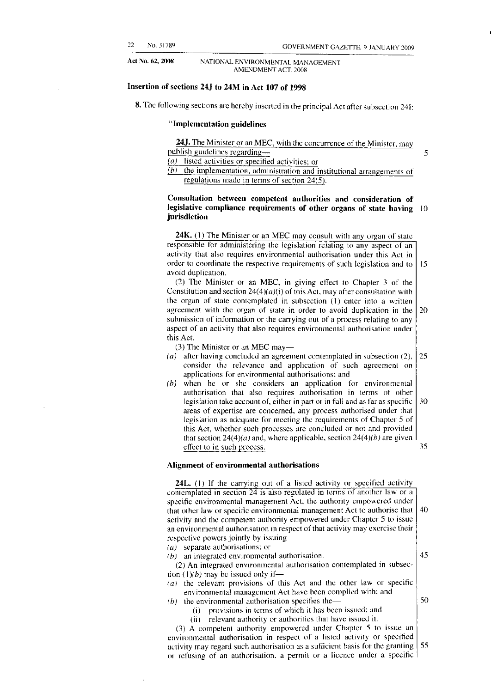#### **Insertion of sections 24J to 24M in Act 107 of 1998**

**8.** The following sections are hereby inserted in the principal Act after subsection 241:

#### **"Implementation guidelines**

**24J.** The Minister or an MEC, with the concurrence of the Minister, may publish guidelines regarding— 5

*(a)* listed activities or specified activities; or

*(b)* the implementation, administration and institutional arrangements of regulations made in terms of section 24(5).

#### **Consultation between competent authorities and consideration of legislative compliance requirements of other organs of state having** 10 **jurisdiction**

**24K.** (1) The Minister or an MEC may consult with any organ of state responsible for administering the legislation relating to any aspect of an activity that also requires environmental authorisation under this Act in order to coordinate the respective requirements of such legislation and to  $\vert$  15 avoid duplication.

(2) The Minister or an MEC, in giving effect to Chapter 3 of the Constitution and section  $24(4)(a)(i)$  of this Act, may after consultation with the organ of state contemplated in subsection (1) enter into a written agreement with the organ of state in order to avoid duplication in the  $\vert$  20 submission of information or the carrying out of a process relating to any aspect of an activity that also requires environmental authorisation under this Act.

(3) The Minister or an MEC may—

- *(a)* after having concluded an agreement contemplated in subsection (2), 25 consider the relevance and application of such agreement on applications for environmental authorisations; and
- *(b)* when he or she considers an application for environmental authorisation that also requires authorisation in terms of other legislation take account of, either in part or in full and as far as specific  $\vert 30 \rangle$ areas of expertise are concerned, any process authorised under that legislation as adequate for meeting the requirements of Chapter 5 of this Act, whether such processes are concluded or not and provided that section  $24(4)(a)$  and, where applicable, section  $24(4)(b)$  are given effect to in such process. 35

#### **Alignment of environmental authorisations**

**24L.** (1) If the carrying out of a listed activity or specified activity contemplated in section 24 is also regulated in terms of another law or a specific environmental management Act, the authority empowered under that other law or specific environmental management Act to authorise that  $\vert$  40 activity and the competent authority empowered under Chapter 5 to issue an environmental authorisation in respect of that activity may exercise their respective powers jointly by issuing—

*(a)* separate authorisations; or

 $(b)$  an integrated environmental authorisation.  $\boxed{45}$ 

(2) An integrated environmental authorisation contemplated in subsection  $(1)(b)$  may be issued only if—

- *(a)* the relevant provisions of this Act and the other law or specific environmental management Act have been complied with; and
- *(b)* the environmental authorisation specifies the—  $\vert$  50
	- (i) provisions in terms of which it has been issued; and
	- (ii) relevant authority or authorities that have issued it.

(3) A competent authority empowered under Chapter 5 to issue an environmental authorisation in respect of a listed activity or specified activity may regard such authorisation as a sufficient basis for the granting  $\vert 55 \rangle$ or refusing of an authorisation, a permit or a licence under a specific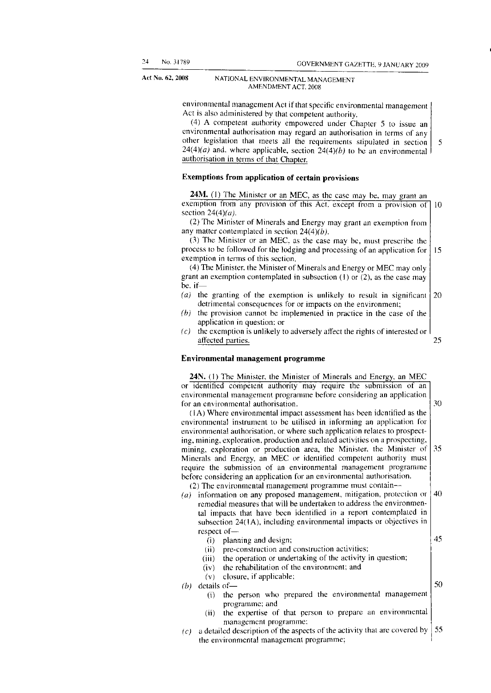environmental management Act if that specific environmental management Act is also administered by that competent authority.

(4) A competent authority empowered under Chapter 5 to issue an environmental authorisation may regard an authorisation in terms of any other legislation that meets all the requirements stipulated in section  $24(4)(a)$  and, where applicable, section  $24(4)(b)$  to be an environmental authorisation in terms of that Chapter.

#### **Exemptions from application of certain provisions**

**24M.** (1) The Minister or an MEC, as the case may be, may grant an exemption from any provision of this Act, except from a provision of 10 section *24(4)(a).* 

(2) The Minister of Minerals and Energy may grant an exemption from any matter contemplated in section *24(4)(b).* 

(3) The Minister or an MEC, as the case may be, must prescribe the process to be followed for the lodging and processing of an application for 15 exemption in terms of this section.

(4) The Minister, the Minister of Minerals and Energy or MEC may only grant an exemption contemplated in subsection (1) or (2), as the case may be, if—

- *(a)* the granting of the exemption is unlikely to result in significant 20 detrimental consequences for or impacts on the environment;
- *(b)* the provision cannot be implemented in practice in the case of the application in question; or
- *(c)* the exemption is unlikely to adversely affect the rights of interested or affected parties.

#### **Environmental management programme**

**24N.** (1) The Minister, the Minister of Minerals and Energy, an MEC or identified competent authority may require the submission of an environmental management programme before considering an application 30 for an environmental authorisation.

(1 A) Where environmental impact assessment has been identified as the environmental instrument to be utilised in informing an application for environmental authorisation, or where such application relates to prospecting, mining, exploration, production and related activities on a prospecting, mining, exploration or production area, the Minister, the Minister of 35 Minerals and Energy, an MEC or identified competent authority must require the submission of an environmental management programme before considering an application for an environmental authorisation. (2) The environmental management programme must contain—

*(a)* information on any proposed management, mitigation, protection or 40

remedial measures that will be undertaken to address the environmental impacts that have been identified in a report contemplated in subsection  $24(1A)$ , including environmental impacts or objectives in respect of—

- 45 (i) planning and design; (ii) pre-construction and construction activities; (iii) the operation or undertaking of the activity in question;
- (iv) the rehabilitation of the environment; and
- (v) closure, if applicable;
- *(b)* details of—
	- (i) the person who prepared the environmental management programme; and
	- (ii) the expertise of that person to prepare an environmental management programme;
- *(c)* a detailed description of the aspects of the activity that are covered by 55 the environmental management programme;

5

25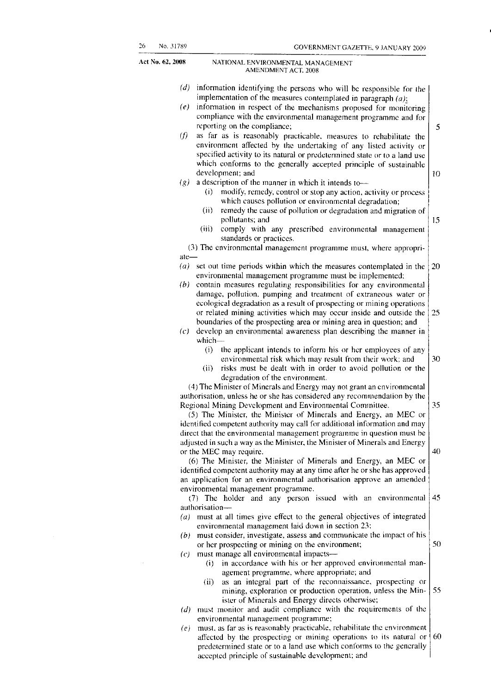- *(d)* information identifying the persons who will be responsible for the implementation of the measures contemplated in paragraph *(a);*
- *(e)* information in respect of the mechanisms proposed for monitoring compliance with the environmental management programme and for reporting on the compliance;
- *(f)* as far as is reasonably practicable, measures to rehabilitate the environment affected by the undertaking of any listed activity or specified activity to its natural or predetermined state or to a land use which conforms to the generally accepted principle of sustainable development; and 10
- *(g)* a description of the manner in which it intends to—
	- (i) modify, remedy, control or stop any action, activity or process which causes pollution or environmental degradation;
	- (ii) remedy the cause of pollution or degradation and migration of pollutants; and
	- (iii) comply with any prescribed environmental management standards or practices.
- (3) The environmental management programme must, where appropriate—
- *(a)* set out time periods within which the measures contemplated in the 20 environmental management programme must be implemented;
- *(b)* contain measures regulating responsibilities for any environmental damage, pollution, pumping and treatment of extraneous water or ecological degradation as a result of prospecting or mining operations or related mining activities which may occur inside and outside the 25 boundaries of the prospecting area or mining area in question; and
- *(c)* develop an environmental awareness plan describing the manner in which—
	- (i) the applicant intends to inform his or her employees of any environmental risk which may result from their work; and 30
	- (ii) risks must be dealt with in order to avoid pollution or the degradation of the environment.

(4) The Minister of Minerals and Energy may not grant an environmental authorisation, unless he or she has considered any recommendation by the Regional Mining Development and Environmental Committee.

(5) The Minister, the Minister of Minerals and Energy, an MEC or identified competent authority may call for additional information and may direct that the environmental management programme in question must be adjusted in such a way as the Minister, the Minister of Minerals and Energy or the MEC may require.

(6) The Minister, the Minister of Minerals and Energy, an MEC or identified competent authority may at any time after he or she has approved an application for an environmental authorisation approve an amended environmental management programme.

(7) The holder and any person issued with an environmental authorisation—

- *(a)* must at all times give effect to the general objectives of integrated environmental management laid down in section 23;
- *(b)* must consider, investigate, assess and communicate the impact of his 50 or her prospecting or mining on the environment;
- *(c)* must manage all environmental impacts—
	- (i) in accordance with his or her approved environmental management programme, where appropriate; and
	- (ii) as an integral part of the reconnaissance, prospecting or 55 mining, exploration or production operation, unless the Minister of Minerals and Energy directs otherwise;
- *(d)* must monitor and audit compliance with the requirements of the environmental management programme;
- *(e)* must, as far as is reasonably practicable, rehabilitate the environment affected by the prospecting or mining operations to its natural or 60 predetermined state or to a land use which conforms to the generally accepted principle of sustainable development; and

40

35

5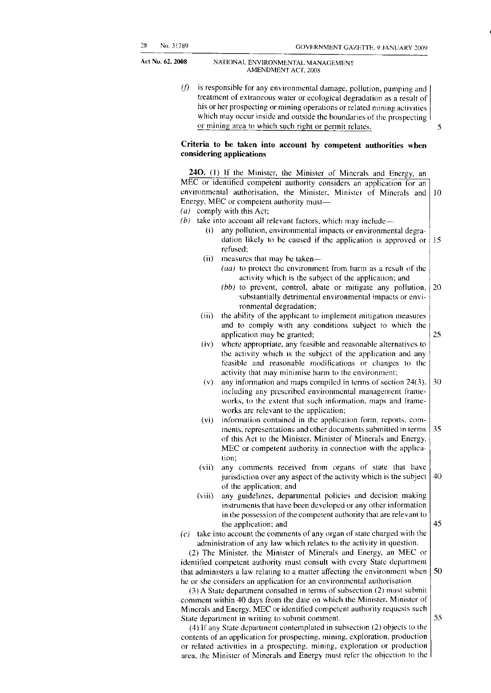> *(f)* is responsible for any environmental damage, pollution, pumping and treatment of extraneous water or ecological degradation as a result of his or her prospecting or mining operations or related mining activities which may occur inside and outside the boundaries of the prospecting or mining area to which such right or permit relates.

#### **Criteria to be taken into account by competent authorities when considering applications**

240. (1) If the Minister, the Minister of Minerals and Energy, an MEC or identified competent authority considers an application for an environmental authorisation, the Minister, Minister of Minerals and 10 Energy, MEC or competent authority must— *(a)* comply with this Act; *(b)* take into account all relevant factors, which may include— (i) any pollution, environmental impacts or environmental degradation likely to be caused if the application is approved or 15 refused; (ii) measures that may be taken— *(aa)* to protect the environment from harm as a result of the activity which is the subject of the application; and *(bb)* to prevent, control, abate or mitigate any pollution, 20 substantially detrimental environmental impacts or environmental degradation; (iii) the ability of the applicant to implement mitigation measures and to comply with any conditions subject to which the 25 application may be granted; (iv) where appropriate, any feasible and reasonable alternatives to the activity which is the subject of the application and any feasible and reasonable modifications or changes to the activity that may minimise harm to the environment; (v) any information and maps compiled in terms of section 24(3), 30 including any prescribed environmental management frameworks, to the extent that such information, maps and frameworks are relevant to the application; (vi) information contained in the application form, reports, comments, representations and other documents submitted in terms  $\vert$  35 of this Act to the Minister, Minister of Minerals and Energy, MEC or competent authority in connection with the application; (vii) any comments received from organs of state that have  $40$ jurisdiction over any aspect of the activity which is the subject of the application; and (viii) any guidelines, departmental policies and decision making instruments that have been developed or any other information in the possession of the competent authority that are relevant to 45 the application; and *(c)* take into account the comments of any organ of state charged with the administration of any law which relates to the activity in question. (2) The Minister, the Minister of Minerals and Energy, an MEC or identified competent authority must consult with every State department 50 that administers a law relating to a matter affecting the environment when he or she considers an application for an environmental authorisation. (3) A State department consulted in terms of subsection (2) must submit comment within 40 days from the date on which the Minister, Minister of Minerals and Energy, MEC or identified competent authority requests such 55 State department in writing to submit comment. (4) If any State department contemplated in subsection (2) objects to the contents of an application for prospecting, mining, exploration, production or related activities in a prospecting, mining, exploration or production

area, the Minister of Minerals and Energy must refer the objection to the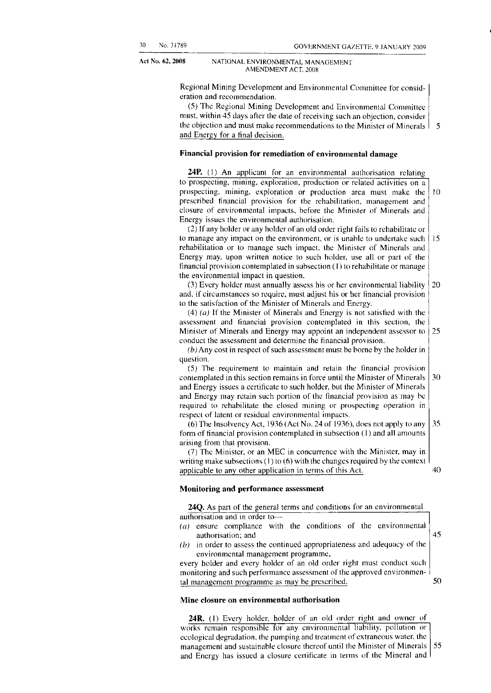> Regional Mining Development and Environmental Committee for consideration and recommendation.

(5) The Regional Mining Development and Environmental Committee must, within 45 days after the date of receiving such an objection, consider the objection and must make recommendations to the Minister of Minerals  $\vert$  5 and Energy for a final decision.

#### **Financial provision for remediation of environmental damage**

**24P.** (1) An applicant for an environmental authorisation relating to prospecting, mining, exploration, production or related activities on a prospecting, mining, exploration or production area must make the 10 prescribed financial provision for the rehabilitation, management and closure of environmental impacts, before the Minister of Minerals and Energy issues the environmental authorisation.

(2) If any holder or any holder of an old order right fails to rehabilitate or to manage any impact on the environment, or is unable to undertake such  $15$ rehabilitation or to manage such impact, the Minister of Minerals and Energy may, upon written notice to such holder, use all or part of the financial provision contemplated in subsection (1) to rehabilitate or manage the environmental impact in question.

(3) Every holder must annually assess his or her environmental liability 20 and, if circumstances so require, must adjust his or her financial provision to the satisfaction of the Minister of Minerals and Energy.

(4) *(a)* If the Minister of Minerals and Energy is not satisfied with the assessment and financial provision contemplated in this section, the 25 Minister of Minerals and Energy may appoint an independent assessor to conduct the assessment and determine the financial provision.

*(b)* Any cost in respect of such assessment must be borne by the holder in question.

(5) The requirement to maintain and retain the financial provision contemplated in this section remains in force until the Minister of Minerals 30 and Energy issues a certificate to such holder, but the Minister of Minerals and Energy may retain such portion of the financial provision as may be required to rehabilitate the closed mining or prospecting operation in respect of latent or residual environmental impacts.

(6) The Insolvency Act, 1936 (Act No. 24 of 1936), does not apply to any 35 form of financial provision contemplated in subsection (1) and all amounts arising from that provision.

(7) The Minister, or an MEC in concurrence with the Minister, may in writing make subsections (1) to (6) with the changes required by the context applicable to any other application in terms of this Act.

#### **Monitoring and performance assessment**

**24Q.** As part of the general terms and conditions for an environmental authorisation and in order to—

- *(a)* ensure compliance with the conditions of the environmental authorisation; and
- *(b)* in order to assess the continued appropriateness and adequacy of the environmental management programme,

every holder and every holder of an old order right must conduct such monitoring and such performance assessment of the approved environmental management programme as may be prescribed.

#### **Mine closure on environmental authorisation**

**24R.** (1) Every holder, holder of an old order right and owner of works remain responsible for any environmental liability, pollution or ecological degradation, the pumping and treatment of extraneous water, the 55 management and sustainable closure thereof until the Minister of Minerals and Energy has issued a closure certificate in terms of the Mineral and

45

50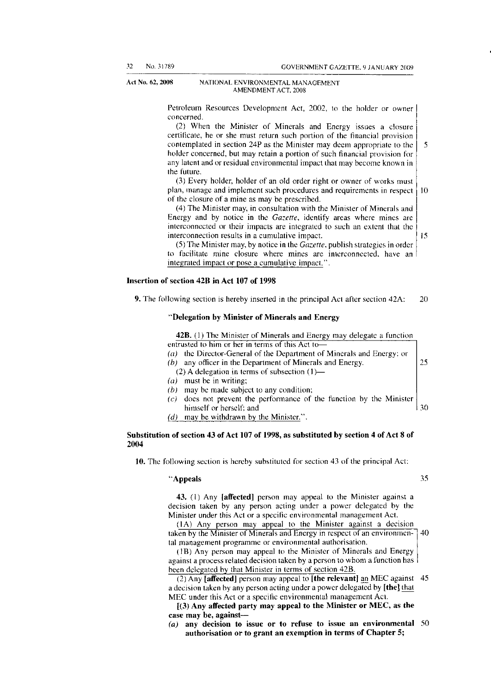Petroleum Resources Development Act, 2002, to the holder or owner concerned.

(2) When the Minister of Minerals and Energy issues a closure certificate, he or she must return such portion of the financial provision contemplated in section 24P as the Minister may deem appropriate to the 5 holder concerned, but may retain a portion of such financial provision for any latent and or residual environmental impact that may become known in the future.

(3) Every holder, holder of an old order right or owner of works must plan, manage and implement such procedures and requirements in respect 10 of the closure of a mine as may be prescribed.

(4) The Minister may, in consultation with the Minister of Minerals and Energy and by notice in the *Gazette,* identify areas where mines are interconnected or their impacts are integrated to such an extent that the interconnection results in a cumulative impact.  $15$ 

(5) The Minister may, by notice in the *Gazette,* publish strategies in order to facilitate mine closure where mines are interconnected, have an integrated impact or pose a cumulative impact.".

#### **Insertion of section 42B in Act 107 of 1998**

**9.** The following section is hereby inserted in the principal Act after section 42A: 20

#### **"Delegation by Minister of Minerals and Energy**

**42B.** (1) The Minister of Minerals and Energy may delegate a function

- entrusted to him or her in terms of this Act to— *(a)* the Director-General of the Department of Minerals and Energy; or
- *(b)* any officer in the Department of Minerals and Energy.
	- (2) A delegation in terms of subsection (1)—
- *(a)* must be in writing;
- *(b)* may be made subject to any condition;
- 30 *(c)* does not prevent the performance of the function by the Minister himself or herself; and
- *(d)* may be withdrawn by the Minister.".

#### **Substitution of section 43 of Act 107 of 1998, as substituted by section 4 of Act 8 of 2004**

**10.** The following section is hereby substituted for section 43 of the principal Act:

#### **"Appeals** 35

25

**43.** (1) Any **[affected]** person may appeal to the Minister against a decision taken by any person acting under a power delegated by the Minister under this Act or a specific environmental management Act.

(1A) Any person may appeal to the Minister against a decision taken by the Minister of Minerals and Energy in respect of an environmen- 40 tal management programme or environmental authorisation.

(IB) Any person may appeal to the Minister of Minerals and Energy against a process related decision taken by a person to whom a function has been delegated by that Minister in terms of section 42B.

(2) Any **[affected]** person may appeal to **[the relevant]** an MEC against 45 a decision taken by any person acting under a power delegated by **[the]** that MEC under this Act or a specific environmental management Act.

**[(3) Any affected party may appeal to the Minister or MEC, as the case may be, against—** 

*(a)* **any decision to issue or to refuse to issue an environmental** 50 **authorisation or to grant an exemption in terms of Chapter 5;**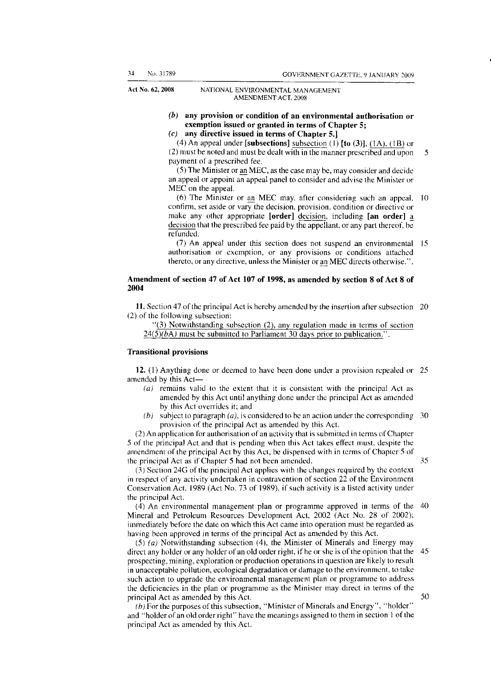- *(b)* **any provision or condition of an environmental authorisation or exemption issued or granted in terms of Chapter 5;**
- *(c)* **any directive issued in terms of Chapter 5.]**

(4) An appeal under **[subsections]** subsection (1) **[to** (3)], (1A), **(IB)** or (2) must be noted and must be dealt with in the manner prescribed and upon  $5$ payment of a prescribed fee.

(5) The Minister or an MEC, as the case may be, may consider and decide an appeal or appoint an appeal panel to consider and advise the Minister or MEC on the appeal.

(6) The Minister or an MEC may, after considering such an appeal, 10 confirm, set aside or vary the decision, provision, condition or directive or make any other appropriate **[order]** decision, including **[an order]** a decision that the prescribed fee paid by the appellant, or any part thereof, be refunded.

(7) An appeal under this section does not suspend an environmental 15 authorisation or exemption, or any provisions or conditions attached thereto, or any directive, unless the Minister or an MEC directs otherwise.".

#### **Amendment of section 47 of Act 107 of 1998, as amended by section 8 of Act 8 of 2004**

**11.** Section 47 of the principal Act is hereby amended by the insertion after subsection 20 (2) of the following subsection:

"(3) Notwithstanding subsection (2), any regulation made in terms of section *24(5)(bA)* must be submitted to Parliament 30 days prior to publication.".

#### **Transitional provisions**

**12.** (1) Anything done or deemed to have been done under a provision repealed or 25 amended by this Act—

- *(a)* remains valid to the extent that it is consistent with the principal Act as amended by this Act until anything done under the principal Act as amended by this Act overrides it; and
- *(b)* subject to paragraph *(a), is* considered to be an action under the corresponding 30 provision of the principal Act as amended by this Act.

(2) An application for authorisation of an activity that is submitted in terms of Chapter 5 of the principal Act and that is pending when this Act takes effect must, despite the amendment of the principal Act by this Act, be dispensed with in terms of Chapter 5 of the principal Act as if Chapter 5 had not been amended. 35

(3) Section 24G of the principal Act applies with the changes required by the context in respect of any activity undertaken in contravention of section 22 of the Environment Conservation Act, 1989 (Act No. 73 of 1989), if such activity is a listed activity under the principal Act.

(4) An environmental management plan or programme approved in terms of the 40 Mineral and Petroleum Resources Development Act, 2002 (Act No. 28 of 2002); immediately before the date on which this Act came into operation must be regarded as having been approved in terms of the principal Act as amended by this Act.

(5) *(a)* Notwithstanding subsection (4), the Minister of Minerals and Energy may direct any holder or any holder of an old order right, if he or she is of the opinion that the 45 prospecting, mining, exploration or production operations in question are likely to result in unacceptable pollution, ecological degradation or damage to the environment, to take such action to upgrade the environmental management plan or programme to address the deficiencies in the plan or programme as the Minister may direct in terms of the principal Act as amended by this Act. 50

(b)<sup>For the purposes of this subsection, "Minister of Minerals and Energy", "holder"</sup> and "holder of an old order right" have the meanings assigned to them in section 1 of the principal Act as amended by this Act.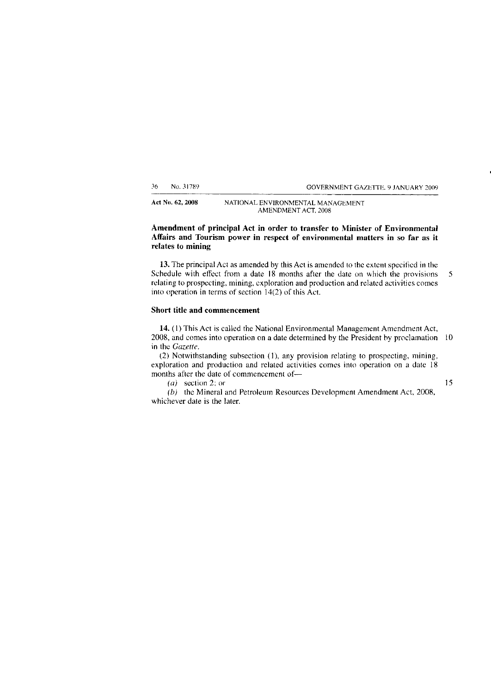36 No. 31789 GOVERNMENT GAZETTE, 9 JANUARY 2009

**Act** No. **62, 2008** NATIONAL ENVIRONMENTAL MANAGEMENT AMENDMENT ACT, 2008

#### **Amendment of principal Act in order to transfer to Minister of Environmental Affairs and Tourism power in respect of environmental matters in so far as it relates to mining**

**13.** The principal Act as amended by this Act is amended to the extent specified in the Schedule with effect from a date 18 months after the date on which the provisions 5 relating to prospecting, mining, exploration and production and related activities comes into operation in terms of section 14(2) of this Act.

#### **Short title and commencement**

**14.** (1) This Act is called the National Environmental Management Amendment Act, 2008, and comes into operation on a date determined by the President by proclamation 10 in the *Gazette.* 

(2) Notwithstanding subsection (1), any provision relating to prospecting, mining, exploration and production and related activities comes into operation on a date 18 months after the date of commencement of—

*(a)* section 2; or 15

*(b)* the Mineral and Petroleum Resources Development Amendment Act, 2008, whichever date is the later.